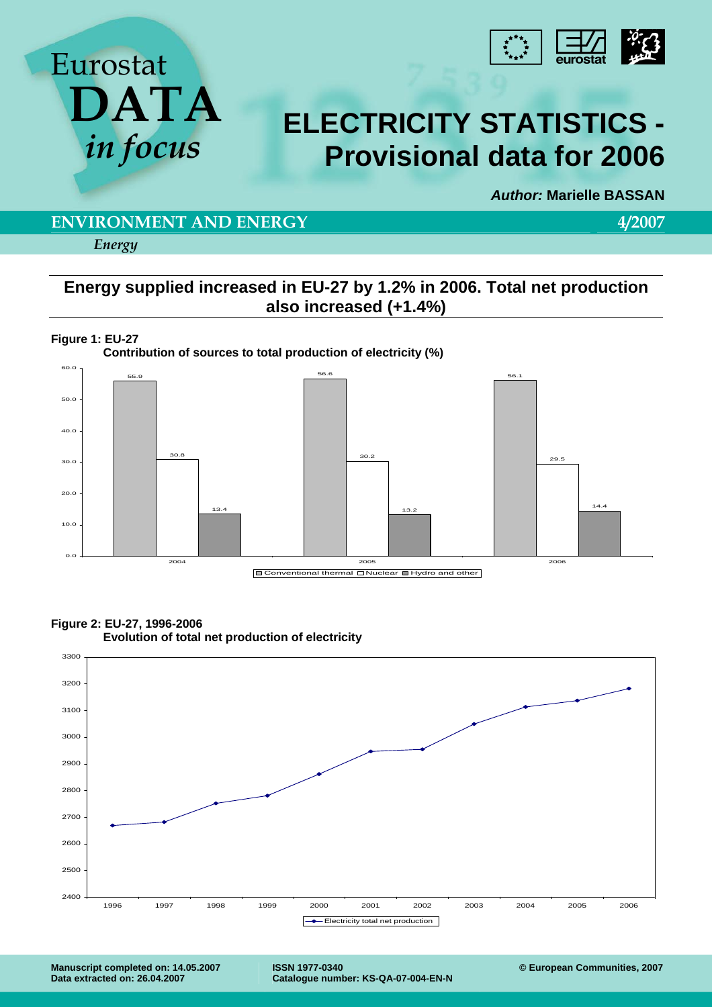



# *in focus* **ELECTRICITY STATISTICS - Provisional data for 2006**

*Author:* **Marielle BASSAN** 

### **ENVIRONMENT AND ENERGY 4/2007**

*Energy* 

## **Energy supplied increased in EU-27 by 1.2% in 2006. Total net production also increased (+1.4%)**









 **Evolution of total net production of electricity** 

**ISSN 1977-0340 Catalogue number: KS-QA-07-004-EN-N**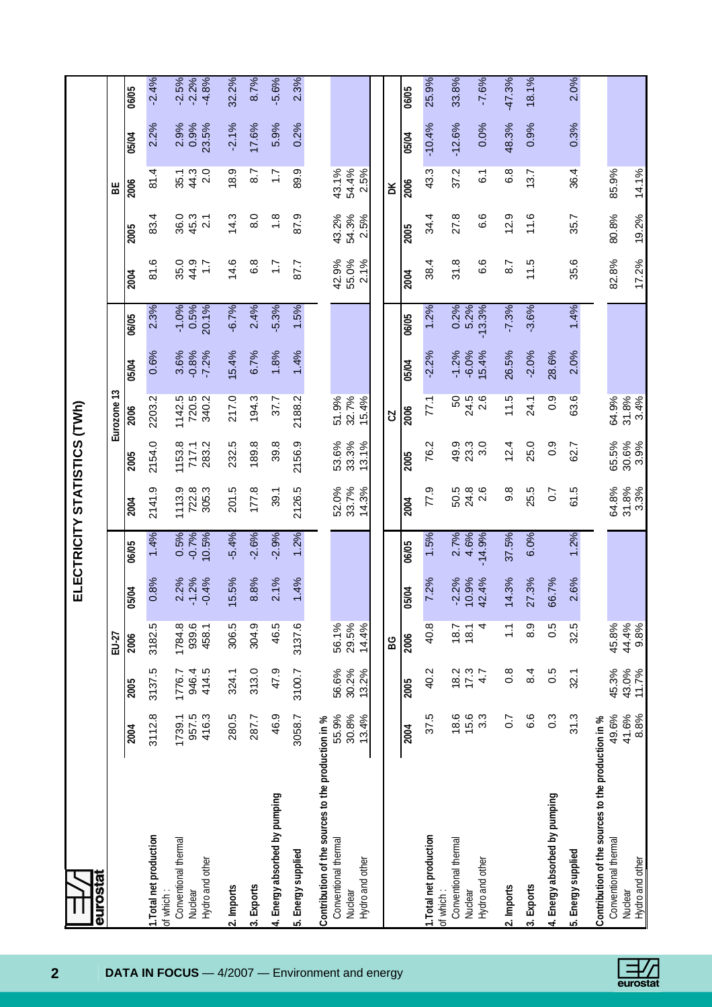| eurostat                                                                                                 |                         |                         |                         |                    |                 | ELECTRICITY STATISTICS (TWh) |                         |                         |                  |               |                          |                        |                        |              |                    |
|----------------------------------------------------------------------------------------------------------|-------------------------|-------------------------|-------------------------|--------------------|-----------------|------------------------------|-------------------------|-------------------------|------------------|---------------|--------------------------|------------------------|------------------------|--------------|--------------------|
|                                                                                                          |                         |                         | EU-27                   |                    |                 |                              |                         | Eurozone 13             |                  |               |                          |                        | 멂                      |              |                    |
|                                                                                                          | 2004                    | 2005                    | 2006                    | 5/04<br>∍          | 06/05           | 2004                         | 2005                    | 2006                    | 05/04            | 06/05         | 2004                     | 2005                   | 2006                   | 05/04        | 06/05              |
| 1. Total net production                                                                                  | 3112.8                  | 3137.5                  | 3182.5                  | 0.8%               | 1.4%            | 2141.9                       | 2154.0                  | 2203.2                  | 0.6%             | 2.3%          | 81.6                     | 83.4                   | 81.4                   | 2.2%         | $-2.4%$            |
| Conventional thermal<br>of which:<br>Nuclear                                                             | 1739.1                  | 1776.7                  | 1784.8                  | 2.2%               | 0.5%<br>$-0.7%$ | 1113.9<br>722.8              | 1153.8<br>717.1         | 1142.5<br>720.5         | 3.6%<br>$-0.8%$  | $-1.0%$       | 35.0                     | 36.0<br>45.3           | 35.1                   | 2.9%<br>0.9% | $-2.5%$<br>$-2.2%$ |
| Hydro and other                                                                                          | 416.3<br>957.5          | 946.4<br>414.5          | 939.6<br>458.1          | $-1.2%$<br>$-0.4%$ | 10.5%           | 305.3                        | 283.2                   | 340.2                   | $-7.2%$          | 0.5%<br>20.1% | 44.9<br>$\overline{1}$ : | $\overline{2.1}$       | 2.0<br>44.3            | 23.5%        | $-4.8%$            |
| 2. Imports                                                                                               | 280.5                   | 324.1                   | 306.5                   | 5.5%               | $-5.4%$         | 201.5                        | 232.5                   | 217.0                   | 15.4%            | $-6.7%$       | 14.6                     | 14.3                   | 18.9                   | $-2.1%$      | 32.2%              |
| 3. Exports                                                                                               | 287.7                   | 313.0                   | 304.9                   | 8.8%               | $-2.6%$         | 177.8                        | 189.8                   | 194.3                   | 6.7%             | 2.4%          | 6.8                      | 8.0                    | 8.7                    | 17.6%        | 8.7%               |
| 4. Energy absorbed by pumping                                                                            | 46.9                    | 47.9                    | 46.5                    | 2.1%               | $-2.9%$         | 39.1                         | 39.8                    | 37.7                    | 1.8%             | $-5.3%$       | $\overline{1.7}$         | $\frac{8}{1}$          | $\ddot{ }$ :           | 5.9%         | $-5.6%$            |
| 5. Energy supplied                                                                                       | 3058.7                  | 3100.7                  | 3137.6                  | 1.4%               | 1.2%            | 2126.5                       | 2156.9                  | 2188.2                  | 1.4%             | 1.5%          | 87.7                     | 87.9                   | 89.9                   | 0.2%         | 2.3%               |
| Contribution of the sources to the production in %<br>Conventional thermal<br>Hydro and other<br>Nuclear | 55.9%<br>30.8%<br>13.4% | 56.6%<br>30.2%<br>13.2% | 29.5%<br>56.1%<br>14.4% |                    |                 | 33.7%<br>52.0%<br>14.3%      | 33.3%<br>53.6%<br>13.1% | 32.7%<br>51.9%<br>15.4% |                  |               | 55.0%<br>42.9%<br>2.1%   | 54.3%<br>43.2%<br>2.5% | 54.4%<br>43.1%<br>2.5% |              |                    |
|                                                                                                          |                         |                         | BG                      |                    |                 |                              |                         | CZ                      |                  |               |                          |                        | ă                      |              |                    |
|                                                                                                          | 2004                    | 2005                    | 2006                    | 5/04<br>0          | 06/05           | 2004                         | 2005                    | 2006                    | 05/04            | 06/05         | 2004                     | 2005                   | 2006                   | 05/04        | 06/05              |
| 1. Total net production                                                                                  | 37.5                    | 40.2                    | 40.8                    | 7.2%               | 1.5%            | 77.9                         | 76.2                    | 77.1                    | $-2.2%$          | 1.2%          | 38.4                     | 34.4                   | 43.3                   | $-10.4%$     | 25.9%              |
| Conventional thermal<br>of which:<br>Nuclear                                                             | 18.6<br>15.6            | 17.3<br>18.2            | 18.7<br>18.1            | $-2.2%$            | 2.7%<br>4.6%    | 24.8<br>50.5                 |                         | 50<br>24.5              | $-1.2%$          | 0.2%<br>5.2%  | 31.8                     | 27.8                   | 37.2                   | $-12.6%$     | 33.8%              |
| Hydro and other                                                                                          | 3.3                     | 4.7                     | 4                       | 0.9%<br>12.4%      | $-14.9%$        | 2.6                          |                         | 2.6                     | $-6.0%$<br>15.4% | $-13.3%$      | 6.6                      | 6.6                    | 6.1                    | 0.0%         | $-7.6%$            |
| 2. Imports                                                                                               | $\overline{0}$ .        | $\frac{8}{2}$           | $\frac{1}{1}$           | 4.3%               | 37.5%           | 9.8                          | 12.4                    | 11.5                    | 26.5%            | $-7.3%$       | 8.7                      | 12.9                   | 6.8                    | 48.3%        | $-47.3%$           |
| 3. Exports                                                                                               | 6.6                     | 8.4                     | 8.9                     | 27.3%              | 6.0%            | 25.5                         | 25.0                    | 24.1                    | $-2.0%$          | $-3.6%$       | 11.5                     | 11.6                   | 13.7                   | 0.9%         | 18.1%              |
| 4. Energy absorbed by pumping                                                                            | $0.\overline{3}$        | 0.5                     | 0.5                     | <b>i6.7%</b>       |                 | 0.7                          | 0.9                     | 0.9                     | 28.6%            |               |                          |                        |                        |              |                    |
| 5. Energy supplied                                                                                       | 31.3                    | 32.1                    | 32.5                    | 2.6%               | 1.2%            | 61.5                         | 62.7                    | 63.6                    | 2.0%             | 1.4%          | 35.6                     | 35.7                   | 36.4                   | 0.3%         | 2.0%               |
| Contribution of the sources to the production in %                                                       |                         |                         |                         |                    |                 |                              |                         |                         |                  |               |                          |                        |                        |              |                    |
| Conventional thermal<br>Nuclear                                                                          | 49.6%<br>41.6%          | 45.3%<br>43.0%          | 44.4%<br>45.8%          |                    |                 | 31.8%<br>64.8%               | 30.6%<br>65.5%          | 31.8%<br>64.9%          |                  |               | 82.8%                    | 80.8%                  | 85.9%                  |              |                    |
| Hydro and other                                                                                          | 8.8%                    | 11.7%                   | 9.8%                    |                    |                 | 3.3%                         | 3.9%                    | 3.4%                    |                  |               | 17.2%                    | 19.2%                  | 14.1%                  |              |                    |

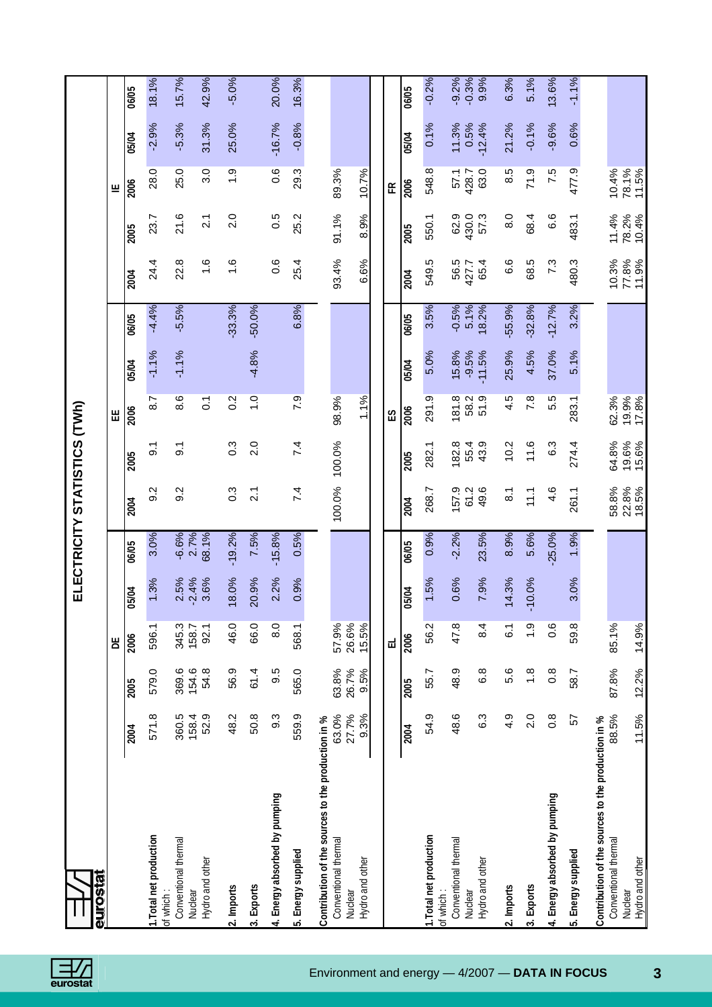下

| ֕<br>۱                                               |
|------------------------------------------------------|
| ı<br>ı<br>ı<br>l                                     |
| I<br>י<br>l<br>ŗ<br>ı                                |
| ۱                                                    |
| ֖֖֖֚֚֚֚֚֚֚֬<br>י<br>í<br>I<br><b>Service Service</b> |

| <b>Burostal</b>                                                                                          |                        |                        |                         |                 |                 | ELECTRICITY STATISTICS (TWh) |                  |                   |                  |                 |                |                |                  |               |                    |
|----------------------------------------------------------------------------------------------------------|------------------------|------------------------|-------------------------|-----------------|-----------------|------------------------------|------------------|-------------------|------------------|-----------------|----------------|----------------|------------------|---------------|--------------------|
|                                                                                                          |                        |                        | Ъ                       |                 |                 |                              |                  | Ш                 |                  |                 |                |                | щ                |               |                    |
|                                                                                                          | 2004                   | 2005                   | 2006                    | 5/04            | 06/05           | $\overline{2004}$            | 2005             | 2006              | 05/04            | 06/05           | 2004           | 2005           | 2006             | 05/04         | 06/05              |
| 1. Total net production<br>of which:                                                                     | 571.8                  | 579.0                  | 596.1                   | 1.3%            | 3.0%            | 9.2                          | $\overline{9}$ . | 8.7               | $-1.1%$          | $-4.4%$         | 24.4           | 23.7           | 28.0             | $-2.9%$       | 18.1%              |
| Conventional thermal<br>Nuclear                                                                          | 360.5<br>158.4         | 369.6<br>154.6         | 345.3<br>158.7          | 2.5%<br>$-2.4%$ | $-6.6%$<br>2.7% | 9.2                          | $\overline{9}$ . | 8.6               | $-1.1%$          | $-5.5%$         | 22.8           | 21.6           | 25.0             | $-5.3%$       | 15.7%              |
| Hydro and other                                                                                          | 52.9                   | 54.8                   | 92.1                    | 3.6%            | 68.1%           |                              |                  | $\overline{0}$    |                  |                 | $\frac{6}{1}$  | 2.1            | 3.0              | 31.3%         | 42.9%              |
| 2. Imports                                                                                               | 48.2                   | 56.9                   | 46.0                    | 8.0%            | $-19.2%$        | $0.\overline{3}$             | $0.\overline{3}$ | 0.2               |                  | $-33.3%$        | $\frac{6}{1}$  | 2.0            | $\overline{1.9}$ | 25.0%         | $-5.0%$            |
| 3. Exports                                                                                               | 50.8                   | 61.4                   | 66.0                    | 20.9%           | 7.5%            | $\overline{2}$ .             | 2.0              | $\overline{1}$ .0 | $-4.8%$          | $-50.0%$        |                |                |                  |               |                    |
| 4. Energy absorbed by pumping                                                                            | 9.3                    | 9.5                    | 8.0                     | 2.2%            | $-15.8%$        |                              |                  |                   |                  |                 | 0.6            | 0.5            | 0.6              | $-16.7%$      | 20.0%              |
| 5. Energy supplied                                                                                       | 559.9                  | 565.0                  | 568.1                   | 0.9%            | 0.5%            | 7.4                          | 7.4              | 7.9               |                  | 6.8%            | 25.4           | 25.2           | 29.3             | $-0.8%$       | 16.3%              |
| Contribution of the sources to the production in %<br>Conventional thermal<br>Hydro and other<br>Nuclear | 63.0%<br>27.7%<br>9.3% | 26.7%<br>63.8%<br>9.5% | 26.6%<br>57.9%<br>15.5% |                 |                 | 100.0%                       | 100.0%           | 98.9%<br>1.1%     |                  |                 | 93.4%<br>6.6%  | 91.1%<br>8.9%  | 89.3%<br>10.7%   |               |                    |
|                                                                                                          |                        |                        | ᆸ                       |                 |                 |                              |                  | ΕS                |                  |                 |                |                | 뚠                |               |                    |
|                                                                                                          | 2004                   | 2005                   | 2006                    | <b>15/04</b>    | 06/05           | 2004                         | 2005             | 2006              | 05/04            | 06/05           | 2004           | 2005           | 2006             | 05/04         | 06/05              |
| 1. Total net production                                                                                  | 54.9                   | 55.7                   | 56.2                    | 1.5%            | 0.9%            | 268.7                        | 282.1            | 291.9             | 5.0%             | 3.5%            | 549.5          | 550.1          | 548.8            | 0.1%          | $-0.2%$            |
| Conventional thermal<br>of which:<br>Nuclear                                                             | 48.6                   | 48.9                   | 47.8                    | 0.6%            | $-2.2%$         | 157.9<br>61.2                | 182.8<br>55.4    | 181.8<br>58.2     | 15.8%<br>$-9.5%$ | $-0.5%$<br>5.1% | 56.5<br>427.7  | 62.9<br>430.0  | 57.1<br>428.7    | 11.3%<br>0.5% | $-0.3%$<br>$-9.2%$ |
| Hydro and other                                                                                          | 6.3                    | 6.8                    | 8.4                     | 7.9%            | 23.5%           | 49.6                         | 43.9             | 51.9              | $-11.5%$         | 8.2%            | 65.4           | 57.3           | 63.0             | $-12.4%$      | 9.9%               |
| 2. Imports                                                                                               | 4.9                    | 5.6                    | 6.1                     | 4.3%            | 8.9%            | $\overline{8}$ .             | 10.2             | 4.5               | 25.9%            | $-55.9%$        | 6.6            | 8.0            | 8.5              | 21.2%         | 6.3%               |
| 3. Exports                                                                                               | 2.0                    | $\frac{8}{1}$          | 0.1                     | 0.0%<br>Σ       | 5.6%            | 11.1                         | 11.6             | 7.8               | 4.5%             | $-32.8%$        | 68.5           | 68.4           | 71.9             | $-0.1%$       | 5.1%               |
| 4. Energy absorbed by pumping                                                                            | $0.\overline{8}$       | $0.\overline{8}$       | 0.6                     |                 | $-25.0%$        | 4.6                          | 6.3              | 5.5               | 37.0%            | $-12.7%$        | 7.3            | 6.6            | 7.5              | $-9.6%$       | 13.6%              |
| 5. Energy supplied                                                                                       | 57                     | 58.7                   | 59.8                    | 3.0%            | 1.9%            | 261.1                        | 274.4            | 283.1             | 5.1%             | 3.2%            | 480.3          | 483.1          | 477.9            | 0.6%          | $-1.1%$            |
| Contribution of the sources to the production in %<br>Conventional thermal                               | 88.5%                  | 87.8%                  | 85.1%                   |                 |                 | 58.8%                        | 64.8%            | 62.3%             |                  |                 | 10.3%          | 11.4%          | 10.4%            |               |                    |
| Hydro and other<br>Nuclear                                                                               | 11.5%                  | 12.2%                  | 14.9%                   |                 |                 | 22.8%<br>18.5%               | 19.6%<br>15.6%   | 19.9%<br>17.8%    |                  |                 | 11.9%<br>77.8% | 10.4%<br>78.2% | 78.1%<br>11.5%   |               |                    |

**3**

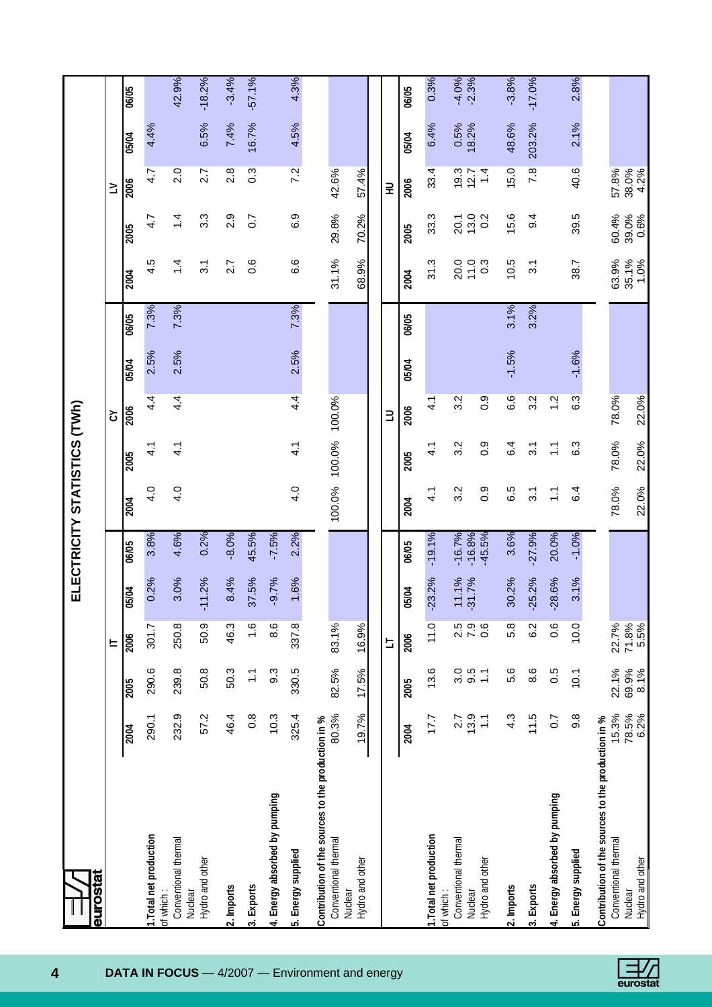|                                                                            |                  |               |                          |                   |                      |                  | ELECTRICITY STATISTICS (TWh) |               |         |       |                  |                  |                  |               |                    |
|----------------------------------------------------------------------------|------------------|---------------|--------------------------|-------------------|----------------------|------------------|------------------------------|---------------|---------|-------|------------------|------------------|------------------|---------------|--------------------|
| eurostat                                                                   |                  |               |                          |                   |                      |                  |                              |               |         |       |                  |                  |                  |               |                    |
|                                                                            |                  |               | $=$                      |                   |                      |                  |                              | Š             |         |       |                  |                  | $\geq$           |               |                    |
|                                                                            | 2004             | 2005          | 2006                     | 05/04             | 06/05                | 2004             | 2005                         | 2006          | 05/04   | 06/05 | 2004             | 2005             | 2006             | 05/04         | 06/05              |
| 1. Total net production<br>of which:                                       | 290.1            | 290.6         | 301.7                    | 0.2%              | 3.8%                 | 4.0              | $\frac{1}{4}$                | 4.4           | 2.5%    | 7.3%  | 4.5              | 4.7              | 4.7              | 4.4%          |                    |
| Conventional thermal<br>Nuclear                                            | 232.9            | 239.8         | 250.8                    | 3.0%              | 4.6%                 | 4.0              | 4.1                          | 4.4           | 2.5%    | 7.3%  | 1.4              | 1.4              | 2.0              |               | 42.9%              |
| Hydro and other                                                            | 57.2             | 50.8          | 50.9                     | $-11.2%$          | 0.2%                 |                  |                              |               |         |       | $\overline{3.1}$ | 3.3              | 2.7              | 6.5%          | $-18.2%$           |
| 2. Imports                                                                 | 46.4             | 50.3          | 46.3                     | 8.4%              | $-8.0%$              |                  |                              |               |         |       | 2.7              | $2.\overline{9}$ | $2.\overline{8}$ | 7.4%          | $-3.4%$            |
| 3. Exports                                                                 | $\frac{8}{2}$    | $\frac{1}{1}$ | 1.6                      | 37.5%             | 45.5%                |                  |                              |               |         |       | 0.6              | $\overline{0}$ . | $0.\overline{3}$ | 16.7%         | $-57.1%$           |
| 4. Energy absorbed by pumping                                              | 10.3             | 9.3           | 8.6                      | $-9.7%$           | $-7.5%$              |                  |                              |               |         |       |                  |                  |                  |               |                    |
| 5. Energy supplied                                                         | 325.4            | 330.5         | 337.8                    | 1.6%              | 2.2%                 | 4.0              | 4.1                          | 4.4           | 2.5%    | 7.3%  | 6.6              | 6.9              | 7.2              | 4.5%          | 4.3%               |
| Contribution of the sources to the production in %<br>Conventional thermal | 80.3%            | 82.5%         | 83.1%                    |                   |                      | 100.0%           | 100.0%                       | 100.0%        |         |       | 31.1%            | 29.8%            | 42.6%            |               |                    |
| Hydro and other<br>Nuclear                                                 | 19.7%            | 17.5%         | 16.9%                    |                   |                      |                  |                              |               |         |       | 68.9%            | 70.2%            | 57.4%            |               |                    |
|                                                                            |                  |               | $\overline{\phantom{0}}$ |                   |                      |                  |                              | $\exists$     |         |       |                  |                  | 긒                |               |                    |
|                                                                            | 2004             | 2005          | 2006                     | 05/04             | 06/05                | 2004             | 2005                         | 2006          | 05/04   | 06/05 | 2004             | 2005             | 2006             | 05/04         | 06/05              |
| 1. Total net production<br>of which:                                       | 177              | 13.6          | 11.0                     | $-23.2%$          | $-19.1%$             | 4.1              | $\frac{1}{4}$                | $\frac{1}{4}$ |         |       | 31.3             | 33.3             | 33.4             | 6.4%          | 0.3%               |
| Conventional thermal<br>Nuclear                                            | 13.9<br>2.7      | 3.0<br>9.5    | $\frac{2.5}{7.9}$        | 11.1%<br>$-31.7%$ | $-16.7%$<br>$-16.8%$ | 3.2              | 3.2                          | 3.2           |         |       | 20.0<br>11.0     | 13.0<br>20.1     | $19.3$<br>$12.7$ | 0.5%<br>18.2% | $-4.0%$<br>$-2.3%$ |
| Hydro and other                                                            | $\sum$           | $\sum$        | 0.6                      |                   | $-45.5%$             | 0.9              | 0.9                          | $\frac{0}{2}$ |         |       | $\frac{3}{2}$    | 0.2              | 1.4              |               |                    |
| 2. Imports                                                                 | 4.3              | 5.6           | 5.8                      | 30.2%             | 3.6%                 | 6.5              | 6.4                          | 6.6           | $-1.5%$ | 3.1%  | 10.5             | 15.6             | 15.0             | 48.6%         | $-3.8%$            |
| 3. Exports                                                                 | 11.5             | 8.6           | 6.2                      | $-25.2%$          | $-27.9%$             | $\overline{3}$ . | $\overline{3}$ .             | 3.2           |         | 3.2%  | 3.1              | 9.4              | 7.8              | 203.2%        | $-17.0%$           |
| 4. Energy absorbed by pumping                                              | 0.7              | 0.5           | 0.6                      | $-28.6%$          | 20.0%                | $\mathbb{Z}$     | $\mathbb{Z}$                 | $\frac{2}{1}$ |         |       |                  |                  |                  |               |                    |
| 5. Energy supplied                                                         | $9.\overline{8}$ | 10.1          | 10.0                     | 3.1%              | $-1.0%$              | 6.4              | 6.3                          | 6.3           | $-1.6%$ |       | 38.7             | 39.5             | 40.6             | 2.1%          | 2.8%               |
| Contribution of the sources to the production in %                         |                  |               |                          |                   |                      |                  |                              |               |         |       |                  |                  |                  |               |                    |
| Conventional thermal<br>Nuclear                                            | 15.3%            | 22.1%         | 22.7%                    |                   |                      | 78.0%            | 78.0%                        | 78.0%         |         |       | 63.9%            | 60.4%            | 57.8%<br>38.0%   |               |                    |
| Hydro and other                                                            | 78.5%<br>6.2%    | 69.9%<br>8.1% | 71.8%<br>5.5%            |                   |                      | 22.0%            | 22.0%                        | 22.0%         |         |       | 35.1%<br>1.0%    | 39.0%<br>0.6%    | 4.2%             |               |                    |

 $\boxed{\frac{1}{2}}$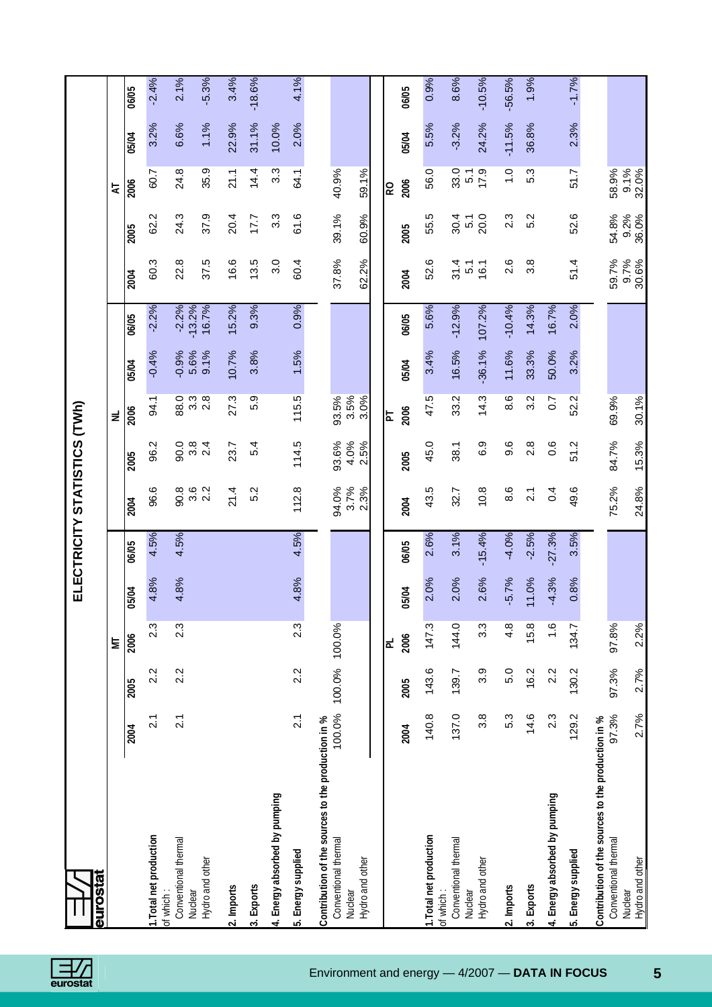|                                                                                                          |                  |        |                  |         |          | ELECTRICITY STATISTICS (TWh) |                         |                           |                 |                     |                        |                  |                        |          |          |
|----------------------------------------------------------------------------------------------------------|------------------|--------|------------------|---------|----------|------------------------------|-------------------------|---------------------------|-----------------|---------------------|------------------------|------------------|------------------------|----------|----------|
| <b>BUPOStar</b>                                                                                          |                  |        |                  |         |          |                              |                         |                           |                 |                     |                        |                  |                        |          |          |
|                                                                                                          |                  |        | ā                |         |          |                              |                         | ă                         |                 |                     |                        |                  | 5                      |          |          |
|                                                                                                          | 2004             | 2005   | 2006             | 05/04   | 06/05    | 2004                         | 2005                    | 2006                      | 05/04           | 06/05               | 2004                   | 2005             | 2006                   | 05/04    | 06/05    |
| 1. Total net production<br>of which:                                                                     | $\overline{2.1}$ | 2.2    | $2.\overline{3}$ | 4.8%    | 4.5%     | 96.6                         | 96.2                    | 94.1                      | $-0.4%$         | $-2.2%$             | 60.3                   | 62.2             | 60.7                   | 3.2%     | $-2.4%$  |
| Conventional thermal<br>Nuclear                                                                          | $\overline{21}$  | 2.2    | $2.\overline{3}$ | 4.8%    | 4.5%     | 90.8<br>3.6                  | 0.06                    | 88.0<br>$3.\overline{3}$  | 5.6%<br>$-0.9%$ | $-13.2%$<br>$-2.2%$ | 22.8                   | 24.3             | 24.8                   | 6.6%     | 2.1%     |
| Hydro and other                                                                                          |                  |        |                  |         |          | 2.2                          | $3.\overline{4}$<br>2.4 | $2.\overline{8}$          | 9.1%            | 16.7%               | 37.5                   | 37.9             | 35.9                   | 1.1%     | $-5.3%$  |
| 2. Imports                                                                                               |                  |        |                  |         |          | 21.4                         | 23.7                    | 27.3                      | 10.7%           | $ 5.2\% $           | 16.6                   | 20.4             | 21.1                   | 22.9%    | 3.4%     |
| 3. Exports                                                                                               |                  |        |                  |         |          | 5.2                          | 5.4                     | 5.9                       | 3.8%            | 9.3%                | 13.5                   | 17.7             | 14.4                   | 31.1%    | $-18.6%$ |
| 4. Energy absorbed by pumping                                                                            |                  |        |                  |         |          |                              |                         |                           |                 |                     | 3.0                    | 3.3              | 3.3                    | 10.0%    |          |
| 5. Energy supplied                                                                                       | $\overline{2}$ . | 2.2    | $2.\overline{3}$ | 4.8%    | 4.5%     | 112.8                        | 114.5                   | 115.5                     | 1.5%            | 0.9%                | 60.4                   | 61.6             | 64.1                   | 2.0%     | 4.1%     |
| Contribution of the sources to the production in %<br>Conventional thermal<br>Hydro and other<br>Nuclear | 100.0%           | 100.0% | 100.0%           |         |          | 3.7%<br>94.0%<br>2.3%        | 93.6%<br>4.0%<br>2.5%   | $3.5%$<br>$3.0%$<br>93.5% |                 |                     | 37.8%<br>62.2%         | 39.1%<br>60.9%   | 40.9%<br>59.1%         |          |          |
|                                                                                                          |                  |        |                  |         |          |                              |                         |                           |                 |                     |                        |                  |                        |          |          |
|                                                                                                          | 2004             | 2005   | 2006<br>ᆮ        | 05/04   | 06/05    | 2004                         | 2005                    | 2006<br>눕                 | 05/04           | 06/05               | 2004                   | 2005             | 2006<br>R <sub>O</sub> | 05/04    | 06/05    |
| 1. Total net production                                                                                  | 140.8            | 143.6  | 147.3            | 2.0%    | 2.6%     | 43.5                         | 45.0                    | 47.5                      | 3.4%            | 5.6%                | 52.6                   | 55.5             | 56.0                   | 5.5%     | 0.9%     |
| Conventional thermal<br>of which:                                                                        | 137.0            | 139.7  | 144.0            | 2.0%    | 3.1%     | 32.7                         | 38.1                    | 33.2                      | 16.5%           | $-12.9%$            | 31.4<br>$\overline{5}$ | 30.4             | 33.0                   | $-3.2%$  | 8.6%     |
| Hydro and other<br>Nuclear                                                                               | 3.8              | 3.9    | 3.3              | 2.6%    | $-15.4%$ | 10.8                         | 6.9                     | 14.3                      | $-36.1%$        | 107.2%              | 16.1                   | 20.0<br>51       | 17.9<br>$\overline{5}$ | 24.2%    | $-10.5%$ |
| 2. Imports                                                                                               | 5.3              | 5.0    | 4.8              | $-5.7%$ | $-4.0%$  | 8.6                          | 9.6                     | 8.6                       | 11.6%           | $-10.4%$            | 2.6                    | $2.\overline{3}$ | $\overline{1}$ .0      | $-11.5%$ | $-56.5%$ |
| 3. Exports                                                                                               | 14.6             | 16.2   | 15.8             | 11.0%   | $-2.5%$  | $\overline{2.1}$             | 2.8                     | 3.2                       | 33.3%           | 14.3%               | 3.8                    | 5.2              | 5.3                    | 36.8%    | 1.9%     |
| 4. Energy absorbed by pumping                                                                            | 2.3              | 2.2    | 1.6              | $-4.3%$ | $-27.3%$ | 0.4                          | 0.6                     | $\overline{0}$ .          | 50.0%           | 16.7%               |                        |                  |                        |          |          |
| 5. Energy supplied                                                                                       | 129.2            | 130.2  | 134.7            | 0.8%    | 3.5%     | 49.6                         | 51.2                    | 52.2                      | 3.2%            | 2.0%                | 51.4                   | 52.6             | 51.7                   | 2.3%     | $-1.7%$  |
| Contribution of the sources to the production in %<br>Conventional thermal                               | 97.3%            | 97.3%  | 97.8%            |         |          | 75.2%                        | 84.7%                   | 69.9%                     |                 |                     | 59.7%                  | 54.8%            | 58.9%                  |          |          |
| Hydro and other<br>Nuclear                                                                               | 2.7%             | 2.7%   | 2.2%             |         |          | 24.8%                        | 15.3%                   | 30.1%                     |                 |                     | 9.7%<br>30.6%          | 9.2%<br>36.0%    | 9.1%<br>32.0%          |          |          |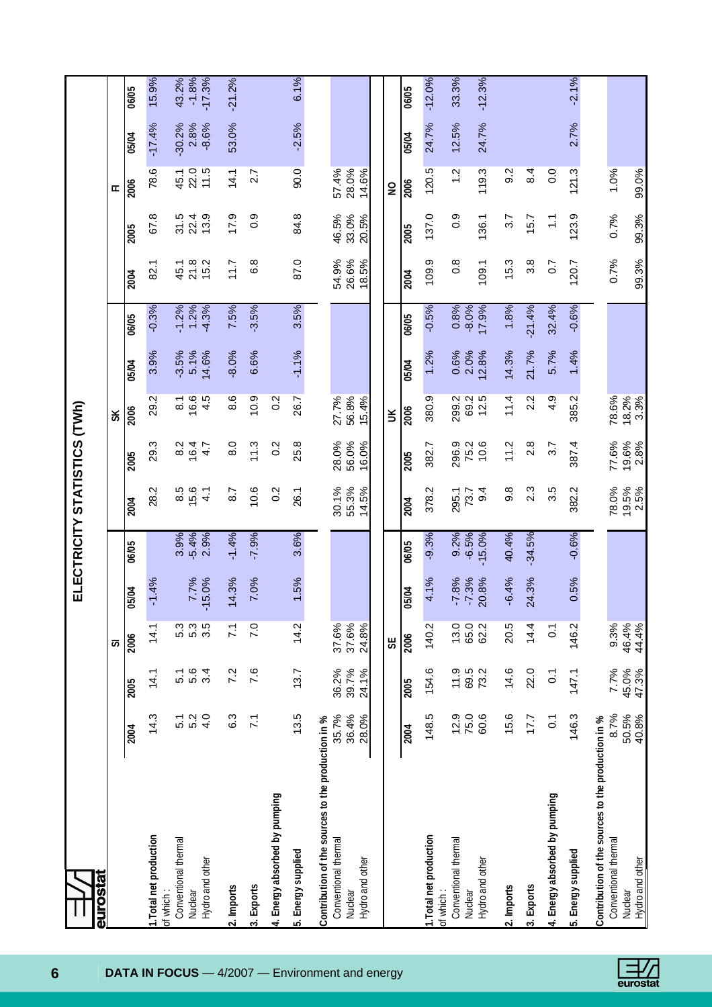| <b>Burostat</b>                                                                                          |                         |                         |                         |                    |                         | ELECTRICITY STATISTICS (TWh) |                         |                           |                          |                            |                         |                          |                         |                             |                              |
|----------------------------------------------------------------------------------------------------------|-------------------------|-------------------------|-------------------------|--------------------|-------------------------|------------------------------|-------------------------|---------------------------|--------------------------|----------------------------|-------------------------|--------------------------|-------------------------|-----------------------------|------------------------------|
|                                                                                                          |                         |                         | 5                       |                    |                         |                              |                         | š                         |                          |                            |                         |                          | ᄄ                       |                             |                              |
|                                                                                                          | 2004                    | 2005                    | 2006                    | 05/04              | 06/05                   | 2004                         | 2005                    | 2006                      | 05/04                    | 06/05                      | 2004                    | 2005                     | 2006                    | 05/04                       | 06/05                        |
| 1. Total net production<br>of which:                                                                     | 14.3                    | 14.1                    | 14.1                    | $-1.4%$            |                         | 28.2                         | 29.3                    | 29.2                      | 3.9%                     | $-0.3%$                    | 82.1                    | œ<br>29                  | 78.6                    | $-17.4%$                    | 15.9%                        |
| Conventional thermal<br>Hydro and other<br>Nuclear                                                       | 4.0<br>5.2<br>5.1       | 5.6<br>3.4<br>5.1       | 5.3<br>5.3<br>3.5       | 7.7%<br>$-15.0%$   | 2.9%<br>$-5.4%$<br>3.9% | 8.5<br>15.6<br>4.1           | 8.2<br>16.4<br>4.7      | 4.5<br>$\frac{8.1}{16.6}$ | $-3.5%$<br>5.1%<br>14.6% | 1.2%<br>$-4.3%$<br>$-1.2%$ | 21.8<br>15.2<br>45.1    | 13.9<br>$31.5$<br>$22.4$ | 22.0<br>11.5<br>45.1    | $-30.2%$<br>$-8.6%$<br>2.8% | $-1.8%$<br>$-17.3%$<br>43.2% |
| 2. Imports                                                                                               | c.3                     | 7.2                     | 71                      | 14.3%              | $-1.4%$                 | 8.7                          | 8.0                     | 8.6                       | $-8.0%$                  | 7.5%                       | 11.7                    | 17.9                     | 14.1                    | 53.0%                       | $-21.2%$                     |
| 3. Exports                                                                                               | $\overline{z}$          | 7.6                     | 7.0                     | 7.0%               | $-7.9%$                 | 10.6                         | 11.3                    | 10.9                      | 6.6%                     | $-3.5%$                    | 6.8                     | 0.9                      | 2.7                     |                             |                              |
| 4. Energy absorbed by pumping                                                                            |                         |                         |                         |                    |                         | 0.2                          | $\overline{0}$ .        | 0.2                       |                          |                            |                         |                          |                         |                             |                              |
| 5. Energy supplied                                                                                       | 13.5                    | 13.7                    | 14.2                    | 1.5%               | 3.6%                    | 26.1                         | 25.8                    | 26.7                      | $-1.1%$                  | 3.5%                       | 87.0                    | 84.8                     | 90.0                    | $-2.5%$                     | 6.1%                         |
| Contribution of the sources to the production in %<br>Conventional thermal<br>Hydro and other<br>Nuclear | 35.7%<br>36.4%<br>28.0% | 36.2%<br>39.7%<br>24.1% | 37.6%<br>37.6%<br>24.8% |                    |                         | 55.3%<br>30.1%<br>14.5%      | 28.0%<br>56.0%<br>16.0% | 56.8%<br>27.7%<br>15.4%   |                          |                            | 54.9%<br>26.6%<br>18.5% | 33.0%<br>46.5%<br>20.5%  | 28.0%<br>57.4%<br>14.6% |                             |                              |
|                                                                                                          |                         |                         | 55                      |                    |                         |                              |                         | š                         |                          |                            |                         |                          | $\overline{a}$          |                             |                              |
|                                                                                                          | 2004                    | 2005                    | 2006                    | 05/04              | 06/05                   | 2004                         | 2005                    | 2006                      | 05/04                    | 06/05                      | 2004                    | 2005                     | 2006                    | 05/04                       | 06/05                        |
| 1. Total net production                                                                                  | 148.5                   | 154.6                   | 140.2                   | 4.1%               | $-9.3%$                 | 378.2                        | 382.7                   | 380.9                     | 1.2%                     | $-0.5%$                    | 109.9                   | 137.0                    | 120.5                   | 24.7%                       | $-12.0%$                     |
| Conventional thermal<br>of which:<br>Nuclear                                                             | 12.9<br>75.0            | 11.9<br>69.5            | 13.0<br>65.0            | $-7.8%$<br>$-7.3%$ | 9.2%<br>$-6.5%$         | 295.1<br>73.7                | 296.9<br>75.2           | 299.2                     | 0.6%<br>2.0%             | 0.8%<br>$-8.0%$            | $\frac{8}{2}$           | 0.9                      | $\frac{2}{1}$           | 12.5%                       | 33.3%                        |
| Hydro and other                                                                                          | 60.6                    | 73.2                    | 62.2                    | 20.8%              | $-15.0%$                | 9.4                          | 10.6                    | 69.2<br>12.5              | 2.8%                     | 17.9%                      | 109.1                   | 136.1                    | 119.3                   | 24.7%                       | $-12.3%$                     |
| 2. Imports                                                                                               | 15.6                    | 14.6                    | 20.5                    | $-6.4%$            | 40.4%                   | 9.8                          | 11.2                    | 11.4                      | 14.3%                    | 1.8%                       | 15.3                    | 3.7                      | 9.2                     |                             |                              |
| 3. Exports                                                                                               | 17.7                    | 22.0                    | 14.4                    | 24.3%              | $-34.5%$                | 2.3                          | 2.8                     | 2.2                       | 21.7%                    | $-21.4%$                   | $3.\overline{8}$        | 15.7                     | 8.4                     |                             |                              |
| 4. Energy absorbed by pumping                                                                            | $\overline{0}$ .        | $\overline{O}$          | $\overline{O}$ .        |                    |                         | 3.5                          | 3.7                     | 4.9                       | 5.7%                     | 32.4%                      | $\overline{0.7}$        | $\frac{1}{1}$            | 0.0                     |                             |                              |
| 5. Energy supplied                                                                                       | 146.3                   | 147.1                   | 146.2                   | 0.5%               | $-0.6%$                 | 382.2                        | 387.4                   | 385.2                     | 1.4%                     | $-0.6%$                    | 120.7                   | 123.9                    | 121.3                   | 2.7%                        | $-2.1%$                      |
| Contribution of the sources to the production in %                                                       |                         |                         |                         |                    |                         |                              |                         |                           |                          |                            |                         |                          |                         |                             |                              |
| Conventional thermal                                                                                     | 8.7%<br>50.5%           | 7.7%<br>45.0%           | 9.3%<br>46.4%           |                    |                         | 78.0%<br>19.5%               | 77.6%<br>19.6%          | 18.2%<br>78.6%            |                          |                            | 0.7%                    | 0.7%                     | 1.0%                    |                             |                              |
| Hydro and other<br>Nuclear                                                                               | 40.8%                   | 47.3%                   | 44.4%                   |                    |                         | 2.5%                         | 2.8%                    | 3.3%                      |                          |                            | 99.3%                   | 99.3%                    | 99.0%                   |                             |                              |

 $\Box/$